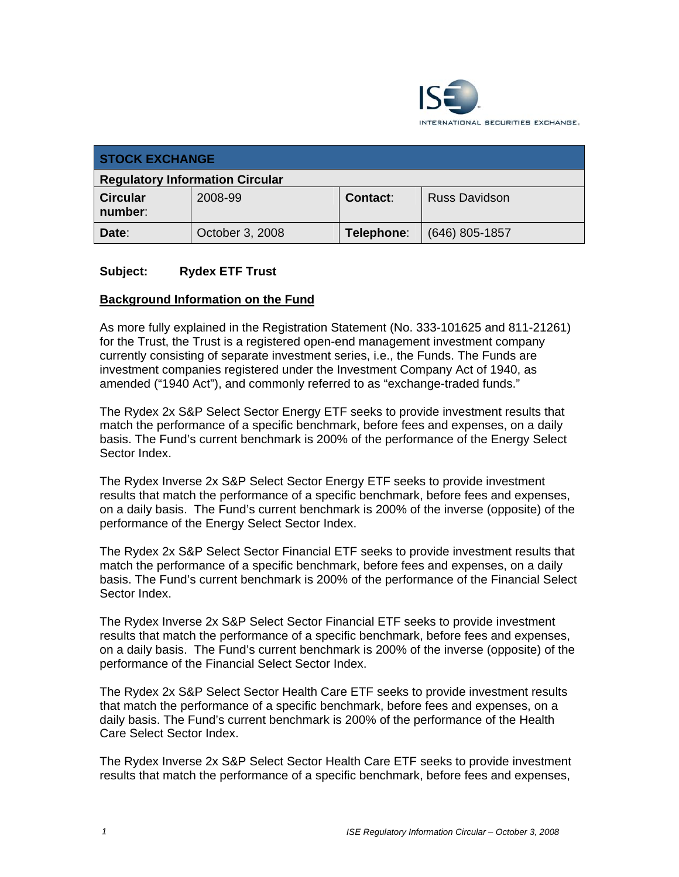

| <b>STOCK EXCHANGE</b>                  |                 |                 |                      |
|----------------------------------------|-----------------|-----------------|----------------------|
| <b>Regulatory Information Circular</b> |                 |                 |                      |
| <b>Circular</b><br>number:             | 2008-99         | <b>Contact:</b> | <b>Russ Davidson</b> |
| Date:                                  | October 3, 2008 | Telephone:      | $(646)$ 805-1857     |

# **Subject: Rydex ETF Trust**

#### **Background Information on the Fund**

As more fully explained in the Registration Statement (No. 333-101625 and 811-21261) for the Trust, the Trust is a registered open-end management investment company currently consisting of separate investment series, i.e., the Funds. The Funds are investment companies registered under the Investment Company Act of 1940, as amended ("1940 Act"), and commonly referred to as "exchange-traded funds."

The Rydex 2x S&P Select Sector Energy ETF seeks to provide investment results that match the performance of a specific benchmark, before fees and expenses, on a daily basis. The Fund's current benchmark is 200% of the performance of the Energy Select Sector Index.

The Rydex Inverse 2x S&P Select Sector Energy ETF seeks to provide investment results that match the performance of a specific benchmark, before fees and expenses, on a daily basis. The Fund's current benchmark is 200% of the inverse (opposite) of the performance of the Energy Select Sector Index.

The Rydex 2x S&P Select Sector Financial ETF seeks to provide investment results that match the performance of a specific benchmark, before fees and expenses, on a daily basis. The Fund's current benchmark is 200% of the performance of the Financial Select Sector Index.

The Rydex Inverse 2x S&P Select Sector Financial ETF seeks to provide investment results that match the performance of a specific benchmark, before fees and expenses, on a daily basis. The Fund's current benchmark is 200% of the inverse (opposite) of the performance of the Financial Select Sector Index.

The Rydex 2x S&P Select Sector Health Care ETF seeks to provide investment results that match the performance of a specific benchmark, before fees and expenses, on a daily basis. The Fund's current benchmark is 200% of the performance of the Health Care Select Sector Index.

The Rydex Inverse 2x S&P Select Sector Health Care ETF seeks to provide investment results that match the performance of a specific benchmark, before fees and expenses,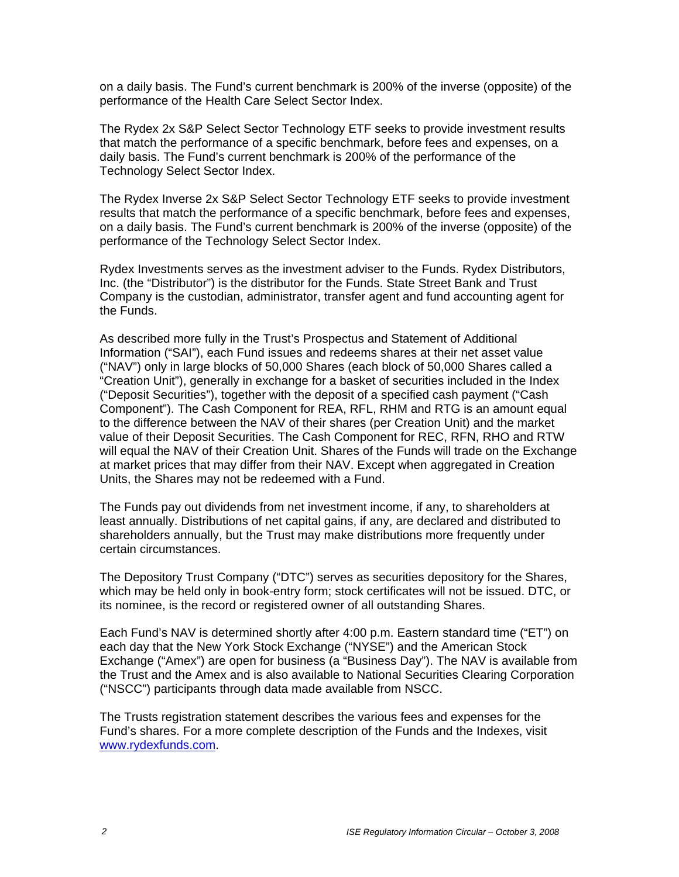on a daily basis. The Fund's current benchmark is 200% of the inverse (opposite) of the performance of the Health Care Select Sector Index.

The Rydex 2x S&P Select Sector Technology ETF seeks to provide investment results that match the performance of a specific benchmark, before fees and expenses, on a daily basis. The Fund's current benchmark is 200% of the performance of the Technology Select Sector Index.

The Rydex Inverse 2x S&P Select Sector Technology ETF seeks to provide investment results that match the performance of a specific benchmark, before fees and expenses, on a daily basis. The Fund's current benchmark is 200% of the inverse (opposite) of the performance of the Technology Select Sector Index.

Rydex Investments serves as the investment adviser to the Funds. Rydex Distributors, Inc. (the "Distributor") is the distributor for the Funds. State Street Bank and Trust Company is the custodian, administrator, transfer agent and fund accounting agent for the Funds.

As described more fully in the Trust's Prospectus and Statement of Additional Information ("SAI"), each Fund issues and redeems shares at their net asset value ("NAV") only in large blocks of 50,000 Shares (each block of 50,000 Shares called a "Creation Unit"), generally in exchange for a basket of securities included in the Index ("Deposit Securities"), together with the deposit of a specified cash payment ("Cash Component"). The Cash Component for REA, RFL, RHM and RTG is an amount equal to the difference between the NAV of their shares (per Creation Unit) and the market value of their Deposit Securities. The Cash Component for REC, RFN, RHO and RTW will equal the NAV of their Creation Unit. Shares of the Funds will trade on the Exchange at market prices that may differ from their NAV. Except when aggregated in Creation Units, the Shares may not be redeemed with a Fund.

The Funds pay out dividends from net investment income, if any, to shareholders at least annually. Distributions of net capital gains, if any, are declared and distributed to shareholders annually, but the Trust may make distributions more frequently under certain circumstances.

The Depository Trust Company ("DTC") serves as securities depository for the Shares, which may be held only in book-entry form; stock certificates will not be issued. DTC, or its nominee, is the record or registered owner of all outstanding Shares.

Each Fund's NAV is determined shortly after 4:00 p.m. Eastern standard time ("ET") on each day that the New York Stock Exchange ("NYSE") and the American Stock Exchange ("Amex") are open for business (a "Business Day"). The NAV is available from the Trust and the Amex and is also available to National Securities Clearing Corporation ("NSCC") participants through data made available from NSCC.

The Trusts registration statement describes the various fees and expenses for the Fund's shares. For a more complete description of the Funds and the Indexes, visit www.rydexfunds.com.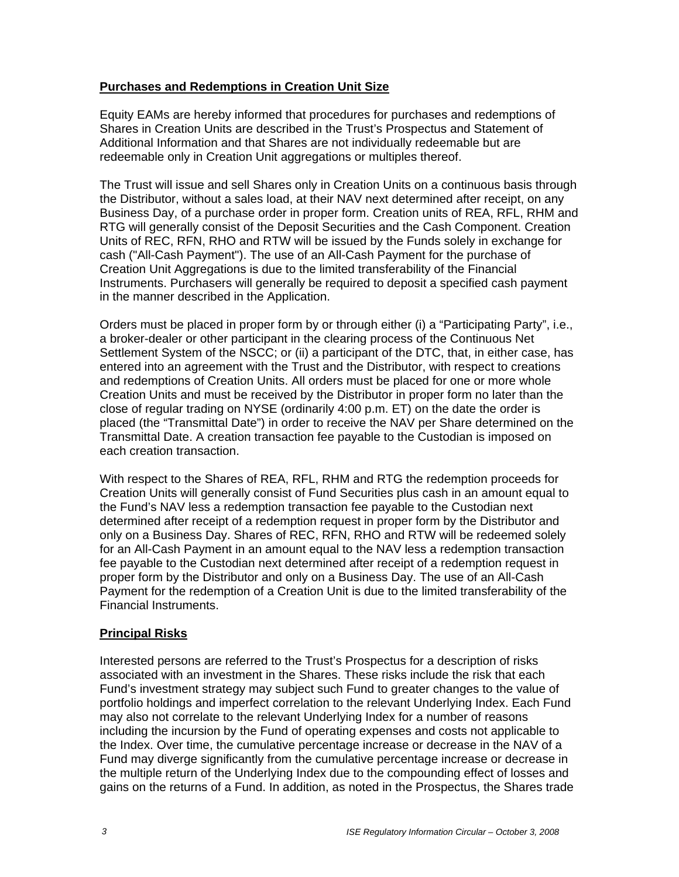# **Purchases and Redemptions in Creation Unit Size**

Equity EAMs are hereby informed that procedures for purchases and redemptions of Shares in Creation Units are described in the Trust's Prospectus and Statement of Additional Information and that Shares are not individually redeemable but are redeemable only in Creation Unit aggregations or multiples thereof.

The Trust will issue and sell Shares only in Creation Units on a continuous basis through the Distributor, without a sales load, at their NAV next determined after receipt, on any Business Day, of a purchase order in proper form. Creation units of REA, RFL, RHM and RTG will generally consist of the Deposit Securities and the Cash Component. Creation Units of REC, RFN, RHO and RTW will be issued by the Funds solely in exchange for cash ("All-Cash Payment"). The use of an All-Cash Payment for the purchase of Creation Unit Aggregations is due to the limited transferability of the Financial Instruments. Purchasers will generally be required to deposit a specified cash payment in the manner described in the Application.

Orders must be placed in proper form by or through either (i) a "Participating Party", i.e., a broker-dealer or other participant in the clearing process of the Continuous Net Settlement System of the NSCC; or (ii) a participant of the DTC, that, in either case, has entered into an agreement with the Trust and the Distributor, with respect to creations and redemptions of Creation Units. All orders must be placed for one or more whole Creation Units and must be received by the Distributor in proper form no later than the close of regular trading on NYSE (ordinarily 4:00 p.m. ET) on the date the order is placed (the "Transmittal Date") in order to receive the NAV per Share determined on the Transmittal Date. A creation transaction fee payable to the Custodian is imposed on each creation transaction.

With respect to the Shares of REA, RFL, RHM and RTG the redemption proceeds for Creation Units will generally consist of Fund Securities plus cash in an amount equal to the Fund's NAV less a redemption transaction fee payable to the Custodian next determined after receipt of a redemption request in proper form by the Distributor and only on a Business Day. Shares of REC, RFN, RHO and RTW will be redeemed solely for an All-Cash Payment in an amount equal to the NAV less a redemption transaction fee payable to the Custodian next determined after receipt of a redemption request in proper form by the Distributor and only on a Business Day. The use of an All-Cash Payment for the redemption of a Creation Unit is due to the limited transferability of the Financial Instruments.

# **Principal Risks**

Interested persons are referred to the Trust's Prospectus for a description of risks associated with an investment in the Shares. These risks include the risk that each Fund's investment strategy may subject such Fund to greater changes to the value of portfolio holdings and imperfect correlation to the relevant Underlying Index. Each Fund may also not correlate to the relevant Underlying Index for a number of reasons including the incursion by the Fund of operating expenses and costs not applicable to the Index. Over time, the cumulative percentage increase or decrease in the NAV of a Fund may diverge significantly from the cumulative percentage increase or decrease in the multiple return of the Underlying Index due to the compounding effect of losses and gains on the returns of a Fund. In addition, as noted in the Prospectus, the Shares trade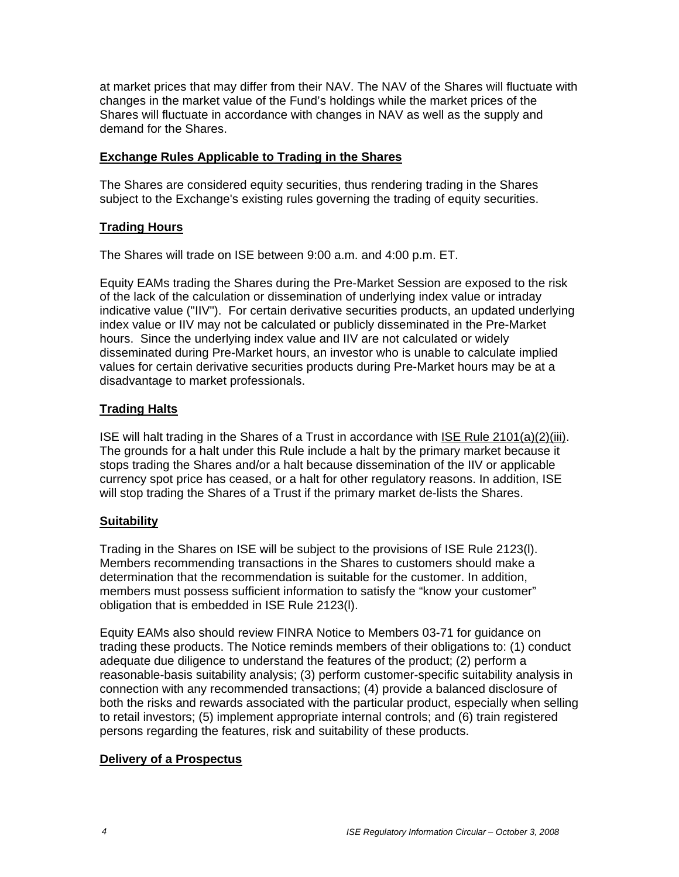at market prices that may differ from their NAV. The NAV of the Shares will fluctuate with changes in the market value of the Fund's holdings while the market prices of the Shares will fluctuate in accordance with changes in NAV as well as the supply and demand for the Shares.

# **Exchange Rules Applicable to Trading in the Shares**

The Shares are considered equity securities, thus rendering trading in the Shares subject to the Exchange's existing rules governing the trading of equity securities.

#### **Trading Hours**

The Shares will trade on ISE between 9:00 a.m. and 4:00 p.m. ET.

Equity EAMs trading the Shares during the Pre-Market Session are exposed to the risk of the lack of the calculation or dissemination of underlying index value or intraday indicative value ("IIV"). For certain derivative securities products, an updated underlying index value or IIV may not be calculated or publicly disseminated in the Pre-Market hours. Since the underlying index value and IIV are not calculated or widely disseminated during Pre-Market hours, an investor who is unable to calculate implied values for certain derivative securities products during Pre-Market hours may be at a disadvantage to market professionals.

# **Trading Halts**

ISE will halt trading in the Shares of a Trust in accordance with ISE Rule 2101(a)(2)(iii). The grounds for a halt under this Rule include a halt by the primary market because it stops trading the Shares and/or a halt because dissemination of the IIV or applicable currency spot price has ceased, or a halt for other regulatory reasons. In addition, ISE will stop trading the Shares of a Trust if the primary market de-lists the Shares.

# **Suitability**

Trading in the Shares on ISE will be subject to the provisions of ISE Rule 2123(l). Members recommending transactions in the Shares to customers should make a determination that the recommendation is suitable for the customer. In addition, members must possess sufficient information to satisfy the "know your customer" obligation that is embedded in ISE Rule 2123(l).

Equity EAMs also should review FINRA Notice to Members 03-71 for guidance on trading these products. The Notice reminds members of their obligations to: (1) conduct adequate due diligence to understand the features of the product; (2) perform a reasonable-basis suitability analysis; (3) perform customer-specific suitability analysis in connection with any recommended transactions; (4) provide a balanced disclosure of both the risks and rewards associated with the particular product, especially when selling to retail investors; (5) implement appropriate internal controls; and (6) train registered persons regarding the features, risk and suitability of these products.

#### **Delivery of a Prospectus**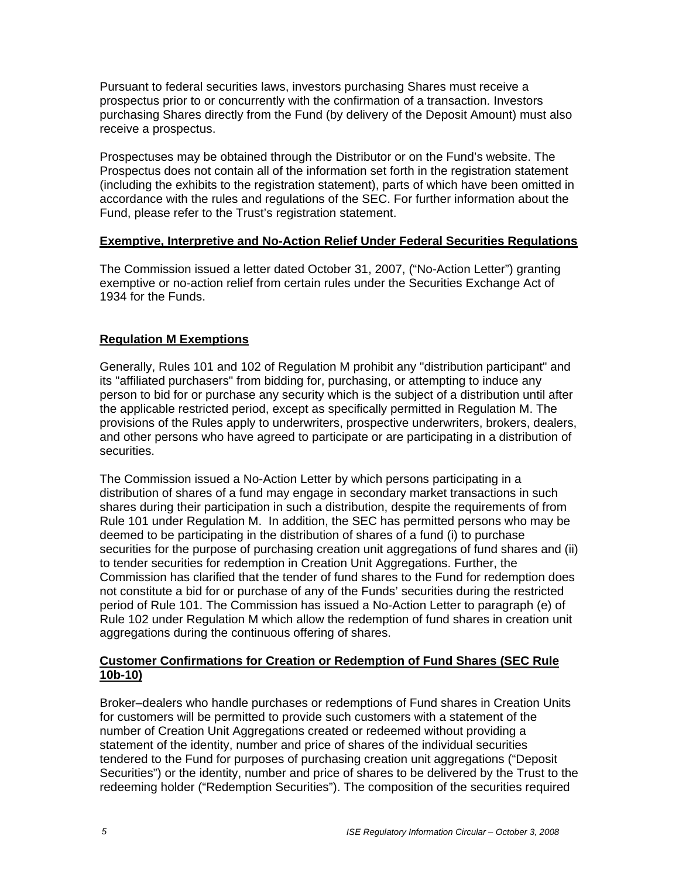Pursuant to federal securities laws, investors purchasing Shares must receive a prospectus prior to or concurrently with the confirmation of a transaction. Investors purchasing Shares directly from the Fund (by delivery of the Deposit Amount) must also receive a prospectus.

Prospectuses may be obtained through the Distributor or on the Fund's website. The Prospectus does not contain all of the information set forth in the registration statement (including the exhibits to the registration statement), parts of which have been omitted in accordance with the rules and regulations of the SEC. For further information about the Fund, please refer to the Trust's registration statement.

# **Exemptive, Interpretive and No-Action Relief Under Federal Securities Regulations**

The Commission issued a letter dated October 31, 2007, ("No-Action Letter") granting exemptive or no-action relief from certain rules under the Securities Exchange Act of 1934 for the Funds.

# **Regulation M Exemptions**

Generally, Rules 101 and 102 of Regulation M prohibit any "distribution participant" and its "affiliated purchasers" from bidding for, purchasing, or attempting to induce any person to bid for or purchase any security which is the subject of a distribution until after the applicable restricted period, except as specifically permitted in Regulation M. The provisions of the Rules apply to underwriters, prospective underwriters, brokers, dealers, and other persons who have agreed to participate or are participating in a distribution of securities.

The Commission issued a No-Action Letter by which persons participating in a distribution of shares of a fund may engage in secondary market transactions in such shares during their participation in such a distribution, despite the requirements of from Rule 101 under Regulation M. In addition, the SEC has permitted persons who may be deemed to be participating in the distribution of shares of a fund (i) to purchase securities for the purpose of purchasing creation unit aggregations of fund shares and (ii) to tender securities for redemption in Creation Unit Aggregations. Further, the Commission has clarified that the tender of fund shares to the Fund for redemption does not constitute a bid for or purchase of any of the Funds' securities during the restricted period of Rule 101. The Commission has issued a No-Action Letter to paragraph (e) of Rule 102 under Regulation M which allow the redemption of fund shares in creation unit aggregations during the continuous offering of shares.

# **Customer Confirmations for Creation or Redemption of Fund Shares (SEC Rule 10b-10)**

Broker–dealers who handle purchases or redemptions of Fund shares in Creation Units for customers will be permitted to provide such customers with a statement of the number of Creation Unit Aggregations created or redeemed without providing a statement of the identity, number and price of shares of the individual securities tendered to the Fund for purposes of purchasing creation unit aggregations ("Deposit Securities") or the identity, number and price of shares to be delivered by the Trust to the redeeming holder ("Redemption Securities"). The composition of the securities required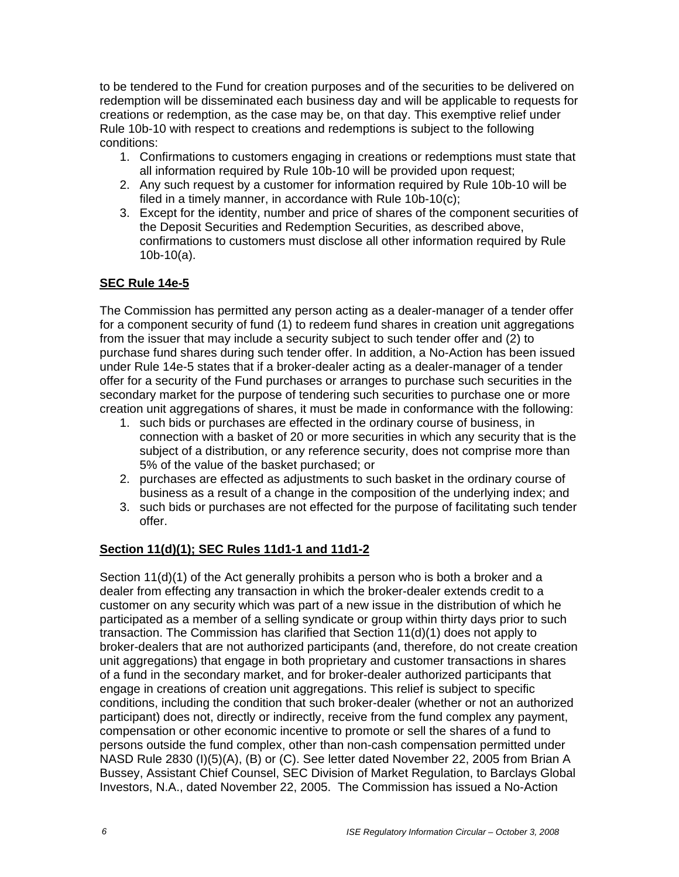to be tendered to the Fund for creation purposes and of the securities to be delivered on redemption will be disseminated each business day and will be applicable to requests for creations or redemption, as the case may be, on that day. This exemptive relief under Rule 10b-10 with respect to creations and redemptions is subject to the following conditions:

- 1. Confirmations to customers engaging in creations or redemptions must state that all information required by Rule 10b-10 will be provided upon request;
- 2. Any such request by a customer for information required by Rule 10b-10 will be filed in a timely manner, in accordance with Rule 10b-10(c);
- 3. Except for the identity, number and price of shares of the component securities of the Deposit Securities and Redemption Securities, as described above, confirmations to customers must disclose all other information required by Rule 10b-10(a).

# **SEC Rule 14e-5**

The Commission has permitted any person acting as a dealer-manager of a tender offer for a component security of fund (1) to redeem fund shares in creation unit aggregations from the issuer that may include a security subject to such tender offer and (2) to purchase fund shares during such tender offer. In addition, a No-Action has been issued under Rule 14e-5 states that if a broker-dealer acting as a dealer-manager of a tender offer for a security of the Fund purchases or arranges to purchase such securities in the secondary market for the purpose of tendering such securities to purchase one or more creation unit aggregations of shares, it must be made in conformance with the following:

- 1. such bids or purchases are effected in the ordinary course of business, in connection with a basket of 20 or more securities in which any security that is the subject of a distribution, or any reference security, does not comprise more than 5% of the value of the basket purchased; or
- 2. purchases are effected as adjustments to such basket in the ordinary course of business as a result of a change in the composition of the underlying index; and
- 3. such bids or purchases are not effected for the purpose of facilitating such tender offer.

# **Section 11(d)(1); SEC Rules 11d1-1 and 11d1-2**

Section 11(d)(1) of the Act generally prohibits a person who is both a broker and a dealer from effecting any transaction in which the broker-dealer extends credit to a customer on any security which was part of a new issue in the distribution of which he participated as a member of a selling syndicate or group within thirty days prior to such transaction. The Commission has clarified that Section 11(d)(1) does not apply to broker-dealers that are not authorized participants (and, therefore, do not create creation unit aggregations) that engage in both proprietary and customer transactions in shares of a fund in the secondary market, and for broker-dealer authorized participants that engage in creations of creation unit aggregations. This relief is subject to specific conditions, including the condition that such broker-dealer (whether or not an authorized participant) does not, directly or indirectly, receive from the fund complex any payment, compensation or other economic incentive to promote or sell the shares of a fund to persons outside the fund complex, other than non-cash compensation permitted under NASD Rule 2830 (I)(5)(A), (B) or (C). See letter dated November 22, 2005 from Brian A Bussey, Assistant Chief Counsel, SEC Division of Market Regulation, to Barclays Global Investors, N.A., dated November 22, 2005. The Commission has issued a No-Action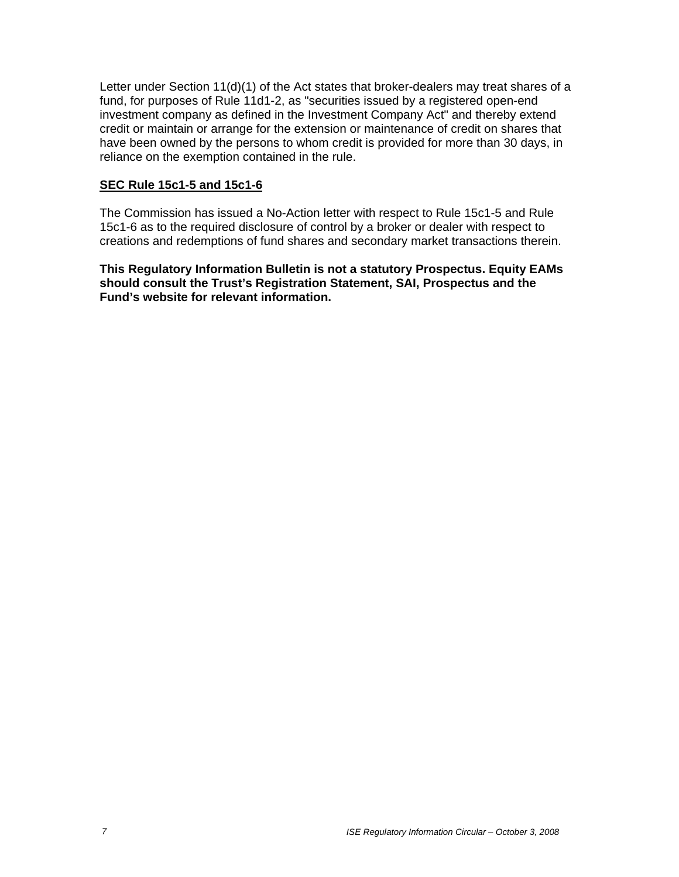Letter under Section 11(d)(1) of the Act states that broker-dealers may treat shares of a fund, for purposes of Rule 11d1-2, as "securities issued by a registered open-end investment company as defined in the Investment Company Act" and thereby extend credit or maintain or arrange for the extension or maintenance of credit on shares that have been owned by the persons to whom credit is provided for more than 30 days, in reliance on the exemption contained in the rule.

#### **SEC Rule 15c1-5 and 15c1-6**

The Commission has issued a No-Action letter with respect to Rule 15c1-5 and Rule 15c1-6 as to the required disclosure of control by a broker or dealer with respect to creations and redemptions of fund shares and secondary market transactions therein.

**This Regulatory Information Bulletin is not a statutory Prospectus. Equity EAMs should consult the Trust's Registration Statement, SAI, Prospectus and the Fund's website for relevant information.**